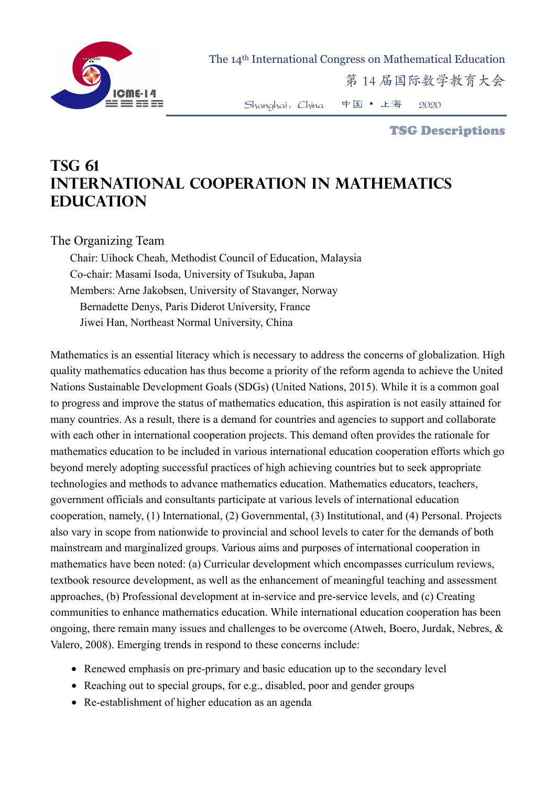

The 14th International Congress on Mathematical Education

第 14 届国际数学教育大会

Shanghai,China 中国 • 上海 2020

TSG Descriptions

## **TSG 61 International Cooperation in Mathematics Education**

## The Organizing Team

Chair: Uihock Cheah, Methodist Council of Education, Malaysia Co-chair: Masami Isoda, University of Tsukuba, Japan Members: Arne Jakobsen, University of Stavanger, Norway Bernadette Denys, Paris Diderot University, France Jiwei Han, Northeast Normal University, China

Mathematics is an essential literacy which is necessary to address the concerns of globalization. High quality mathematics education has thus become a priority of the reform agenda to achieve the United Nations Sustainable Development Goals (SDGs) (United Nations, 2015). While it is a common goal to progress and improve the status of mathematics education, this aspiration is not easily attained for many countries. As a result, there is a demand for countries and agencies to support and collaborate with each other in international cooperation projects. This demand often provides the rationale for mathematics education to be included in various international education cooperation efforts which go beyond merely adopting successful practices of high achieving countries but to seek appropriate technologies and methods to advance mathematics education. Mathematics educators, teachers, government officials and consultants participate at various levels of international education cooperation, namely, (1) International, (2) Governmental, (3) Institutional, and (4) Personal. Projects also vary in scope from nationwide to provincial and school levels to cater for the demands of both mainstream and marginalized groups. Various aims and purposes of international cooperation in mathematics have been noted: (a) Curricular development which encompasses curriculum reviews, textbook resource development, as well as the enhancement of meaningful teaching and assessment approaches, (b) Professional development at in-service and pre-service levels, and (c) Creating communities to enhance mathematics education. While international education cooperation has been ongoing, there remain many issues and challenges to be overcome (Atweh, Boero, Jurdak, Nebres, & Valero, 2008). Emerging trends in respond to these concerns include:

- Renewed emphasis on pre-primary and basic education up to the secondary level
- Reaching out to special groups, for e.g., disabled, poor and gender groups
- Re-establishment of higher education as an agenda